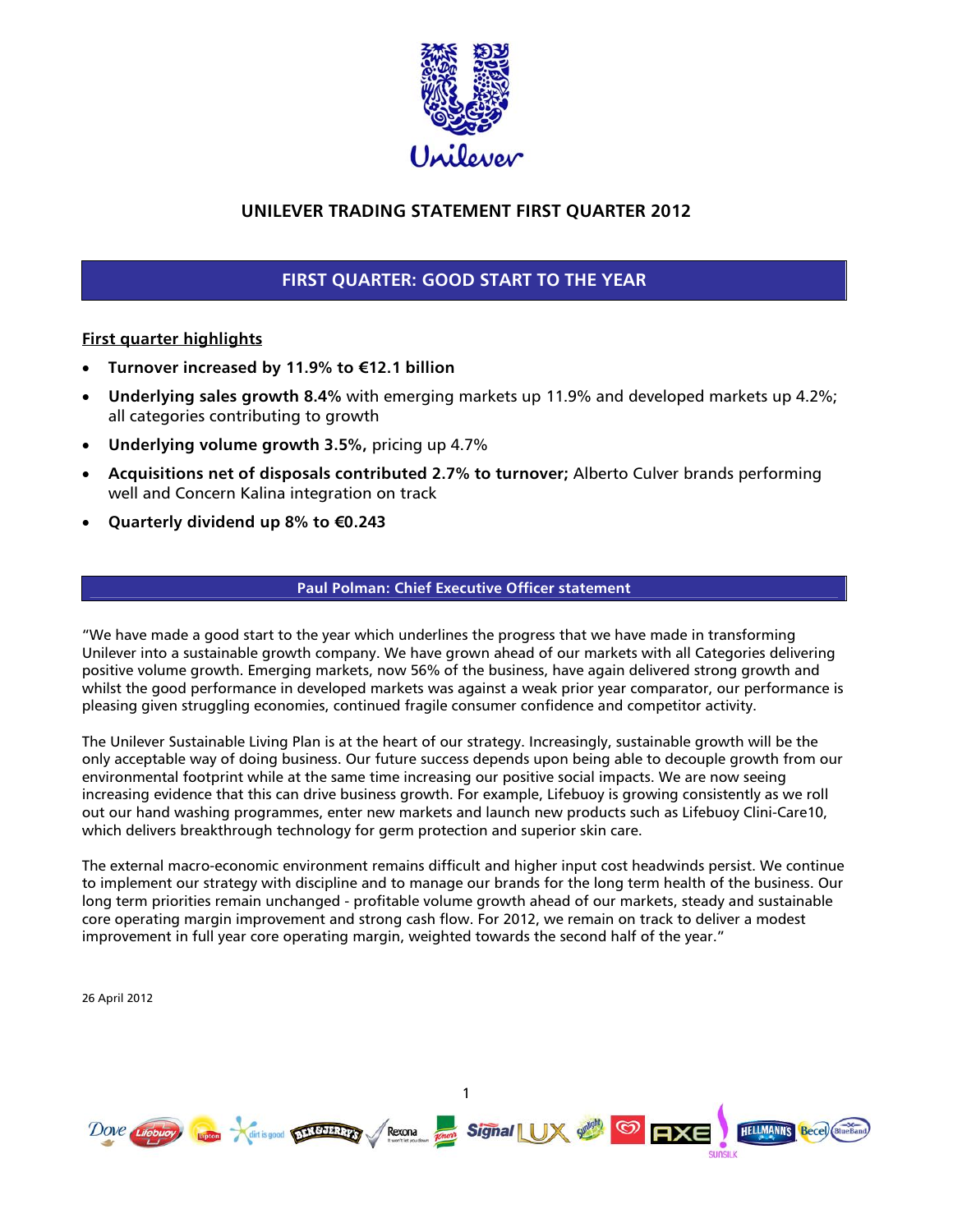

# **UNILEVER TRADING STATEMENT FIRST QUARTER 2012**

# **FIRST QUARTER: GOOD START TO THE YEAR**

# **First quarter highlights**

- **Turnover increased by 11.9% to €12.1 billion**
- **Underlying sales growth 8.4%** with emerging markets up 11.9% and developed markets up 4.2%; all categories contributing to growth
- **Underlying volume growth 3.5%,** pricing up 4.7%
- **Acquisitions net of disposals contributed 2.7% to turnover;** Alberto Culver brands performing well and Concern Kalina integration on track
- **Quarterly dividend up 8% to €0.243**

# **Paul Polman: Chief Executive Officer statement**

"We have made a good start to the year which underlines the progress that we have made in transforming Unilever into a sustainable growth company. We have grown ahead of our markets with all Categories delivering positive volume growth. Emerging markets, now 56% of the business, have again delivered strong growth and whilst the good performance in developed markets was against a weak prior year comparator, our performance is pleasing given struggling economies, continued fragile consumer confidence and competitor activity.

The Unilever Sustainable Living Plan is at the heart of our strategy. Increasingly, sustainable growth will be the only acceptable way of doing business. Our future success depends upon being able to decouple growth from our environmental footprint while at the same time increasing our positive social impacts. We are now seeing increasing evidence that this can drive business growth. For example, Lifebuoy is growing consistently as we roll out our hand washing programmes, enter new markets and launch new products such as Lifebuoy Clini-Care10, which delivers breakthrough technology for germ protection and superior skin care.

The external macro-economic environment remains difficult and higher input cost headwinds persist. We continue to implement our strategy with discipline and to manage our brands for the long term health of the business. Our long term priorities remain unchanged - profitable volume growth ahead of our markets, steady and sustainable core operating margin improvement and strong cash flow. For 2012, we remain on track to deliver a modest improvement in full year core operating margin, weighted towards the second half of the year."

26 April 2012



1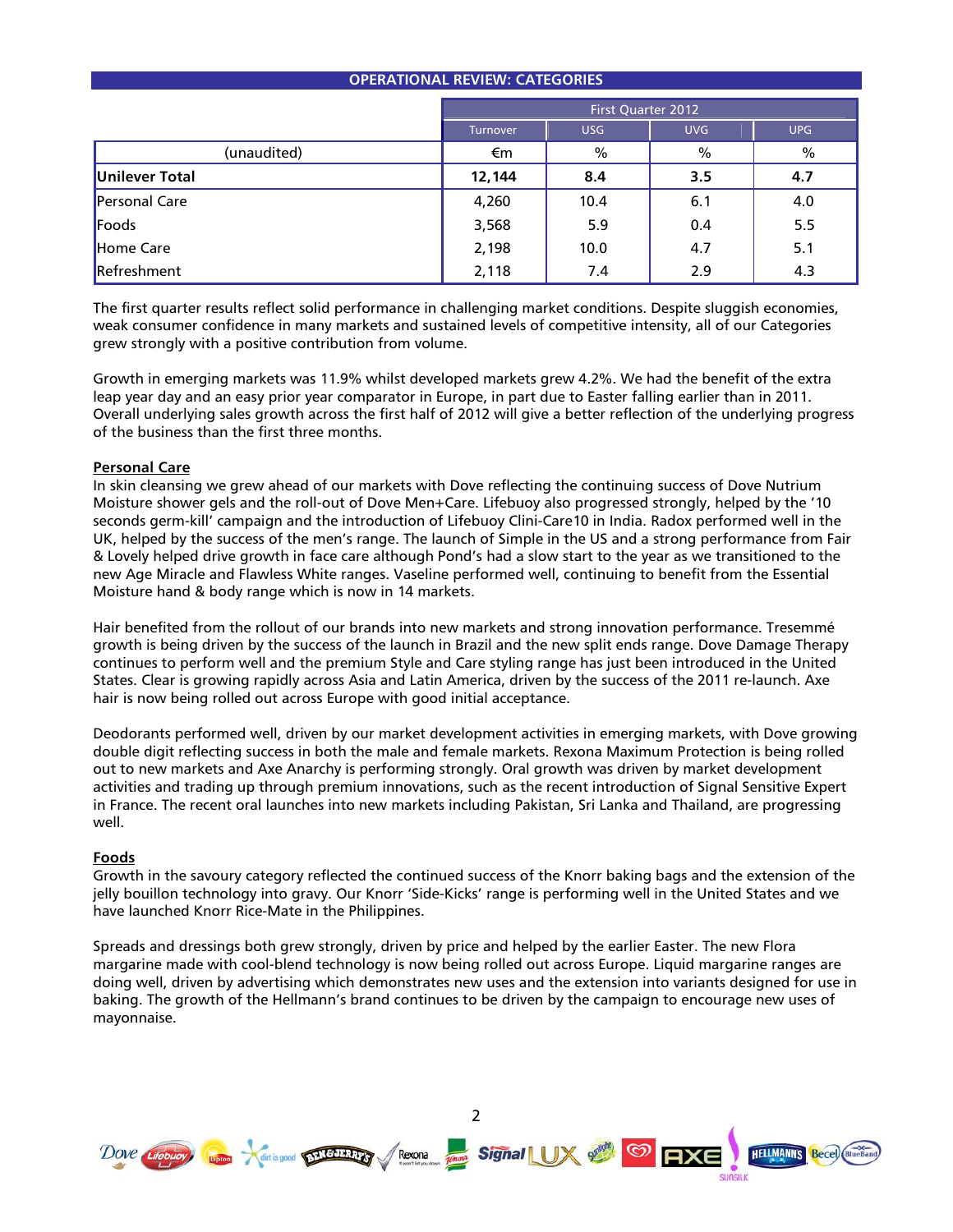| <b>OPERATIONAL REVIEW: CATEGORIES</b> |                                                    |      |      |     |  |
|---------------------------------------|----------------------------------------------------|------|------|-----|--|
|                                       | <b>First Quarter 2012</b>                          |      |      |     |  |
|                                       | <b>UVG</b><br><b>UPG</b><br><b>USG</b><br>Turnover |      |      |     |  |
| (unaudited)                           | €m                                                 | $\%$ | $\%$ | %   |  |
| Unilever Total                        | 12,144                                             | 8.4  | 3.5  | 4.7 |  |
| Personal Care                         | 4,260                                              | 10.4 | 6.1  | 4.0 |  |
| Foods                                 | 3,568                                              | 5.9  | 0.4  | 5.5 |  |
| Home Care                             | 2,198                                              | 10.0 | 4.7  | 5.1 |  |
| Refreshment                           | 2,118                                              | 7.4  | 2.9  | 4.3 |  |

The first quarter results reflect solid performance in challenging market conditions. Despite sluggish economies, weak consumer confidence in many markets and sustained levels of competitive intensity, all of our Categories grew strongly with a positive contribution from volume.

Growth in emerging markets was 11.9% whilst developed markets grew 4.2%. We had the benefit of the extra leap year day and an easy prior year comparator in Europe, in part due to Easter falling earlier than in 2011. Overall underlying sales growth across the first half of 2012 will give a better reflection of the underlying progress of the business than the first three months.

### **Personal Care**

In skin cleansing we grew ahead of our markets with Dove reflecting the continuing success of Dove Nutrium Moisture shower gels and the roll-out of Dove Men+Care. Lifebuoy also progressed strongly, helped by the '10 seconds germ-kill' campaign and the introduction of Lifebuoy Clini-Care10 in India. Radox performed well in the UK, helped by the success of the men's range. The launch of Simple in the US and a strong performance from Fair & Lovely helped drive growth in face care although Pond's had a slow start to the year as we transitioned to the new Age Miracle and Flawless White ranges. Vaseline performed well, continuing to benefit from the Essential Moisture hand & body range which is now in 14 markets.

Hair benefited from the rollout of our brands into new markets and strong innovation performance. Tresemmé growth is being driven by the success of the launch in Brazil and the new split ends range. Dove Damage Therapy continues to perform well and the premium Style and Care styling range has just been introduced in the United States. Clear is growing rapidly across Asia and Latin America, driven by the success of the 2011 re-launch. Axe hair is now being rolled out across Europe with good initial acceptance.

Deodorants performed well, driven by our market development activities in emerging markets, with Dove growing double digit reflecting success in both the male and female markets. Rexona Maximum Protection is being rolled out to new markets and Axe Anarchy is performing strongly. Oral growth was driven by market development activities and trading up through premium innovations, such as the recent introduction of Signal Sensitive Expert in France. The recent oral launches into new markets including Pakistan, Sri Lanka and Thailand, are progressing well.

### **Foods**

Growth in the savoury category reflected the continued success of the Knorr baking bags and the extension of the jelly bouillon technology into gravy. Our Knorr 'Side-Kicks' range is performing well in the United States and we have launched Knorr Rice-Mate in the Philippines.

Spreads and dressings both grew strongly, driven by price and helped by the earlier Easter. The new Flora margarine made with cool-blend technology is now being rolled out across Europe. Liquid margarine ranges are doing well, driven by advertising which demonstrates new uses and the extension into variants designed for use in baking. The growth of the Hellmann's brand continues to be driven by the campaign to encourage new uses of mayonnaise.

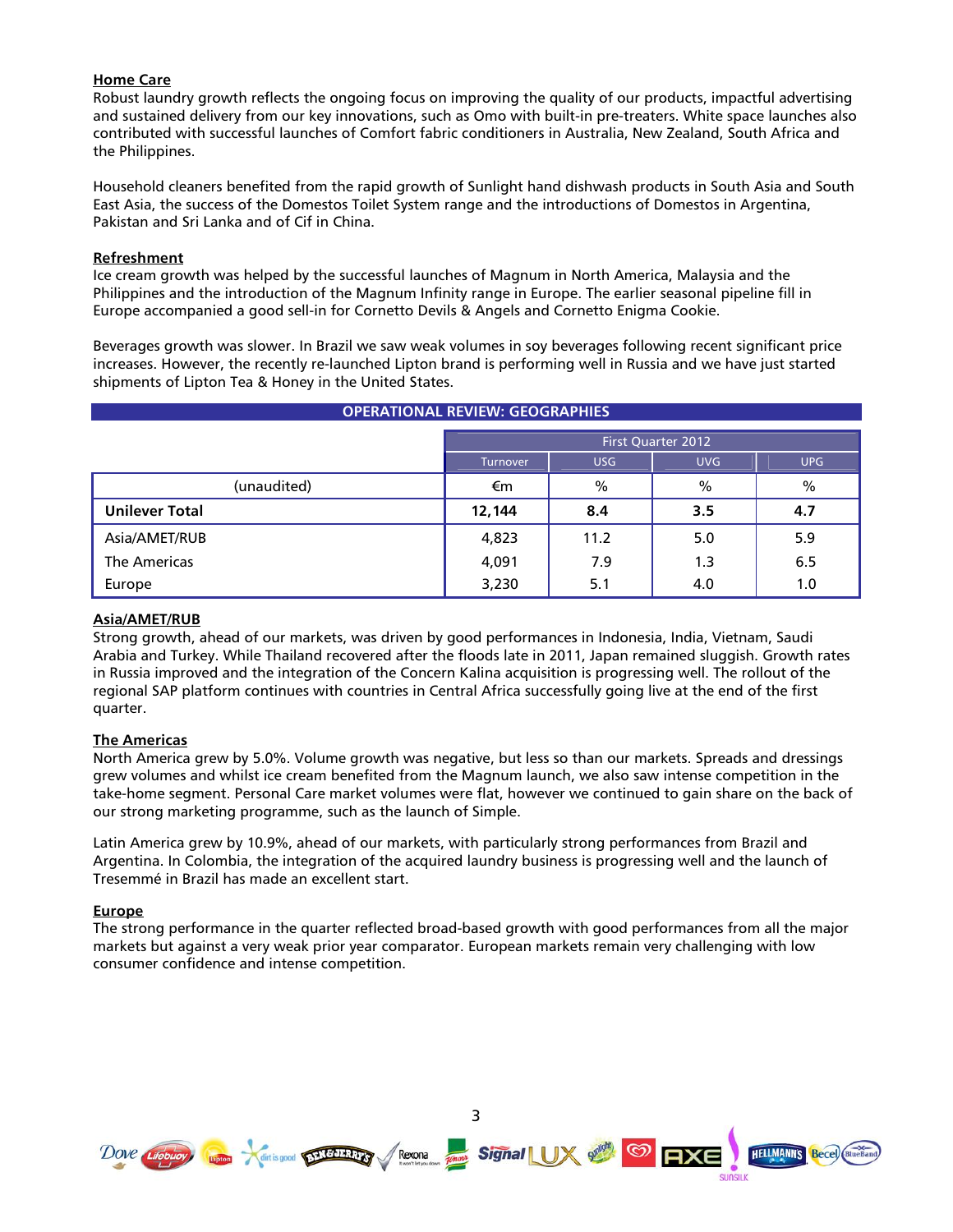# **Home Care**

Robust laundry growth reflects the ongoing focus on improving the quality of our products, impactful advertising and sustained delivery from our key innovations, such as Omo with built-in pre-treaters. White space launches also contributed with successful launches of Comfort fabric conditioners in Australia, New Zealand, South Africa and the Philippines.

Household cleaners benefited from the rapid growth of Sunlight hand dishwash products in South Asia and South East Asia, the success of the Domestos Toilet System range and the introductions of Domestos in Argentina, Pakistan and Sri Lanka and of Cif in China.

# **Refreshment**

Ice cream growth was helped by the successful launches of Magnum in North America, Malaysia and the Philippines and the introduction of the Magnum Infinity range in Europe. The earlier seasonal pipeline fill in Europe accompanied a good sell-in for Cornetto Devils & Angels and Cornetto Enigma Cookie.

Beverages growth was slower. In Brazil we saw weak volumes in soy beverages following recent significant price increases. However, the recently re-launched Lipton brand is performing well in Russia and we have just started shipments of Lipton Tea & Honey in the United States.

| <b>OPERATIONAL REVIEW: GEOGRAPHIES</b> |                                                    |      |      |      |  |
|----------------------------------------|----------------------------------------------------|------|------|------|--|
|                                        | <b>First Quarter 2012</b>                          |      |      |      |  |
|                                        | <b>UVG</b><br><b>UPG</b><br>USG<br><b>Turnover</b> |      |      |      |  |
| (unaudited)                            | €m                                                 | %    | $\%$ | $\%$ |  |
| <b>Unilever Total</b>                  | 12,144                                             | 8.4  | 3.5  | 4.7  |  |
| Asia/AMET/RUB                          | 4,823                                              | 11.2 | 5.0  | 5.9  |  |
| The Americas                           | 4,091                                              | 7.9  | 1.3  | 6.5  |  |
| Europe                                 | 3,230                                              | 5.1  | 4.0  | 1.0  |  |

# **Asia/AMET/RUB**

Strong growth, ahead of our markets, was driven by good performances in Indonesia, India, Vietnam, Saudi Arabia and Turkey. While Thailand recovered after the floods late in 2011, Japan remained sluggish. Growth rates in Russia improved and the integration of the Concern Kalina acquisition is progressing well. The rollout of the regional SAP platform continues with countries in Central Africa successfully going live at the end of the first quarter.

# **The Americas**

North America grew by 5.0%. Volume growth was negative, but less so than our markets. Spreads and dressings grew volumes and whilst ice cream benefited from the Magnum launch, we also saw intense competition in the take-home segment. Personal Care market volumes were flat, however we continued to gain share on the back of our strong marketing programme, such as the launch of Simple.

Latin America grew by 10.9%, ahead of our markets, with particularly strong performances from Brazil and Argentina. In Colombia, the integration of the acquired laundry business is progressing well and the launch of Tresemmé in Brazil has made an excellent start.

### **Europe**

The strong performance in the quarter reflected broad-based growth with good performances from all the major markets but against a very weak prior year comparator. European markets remain very challenging with low consumer confidence and intense competition.

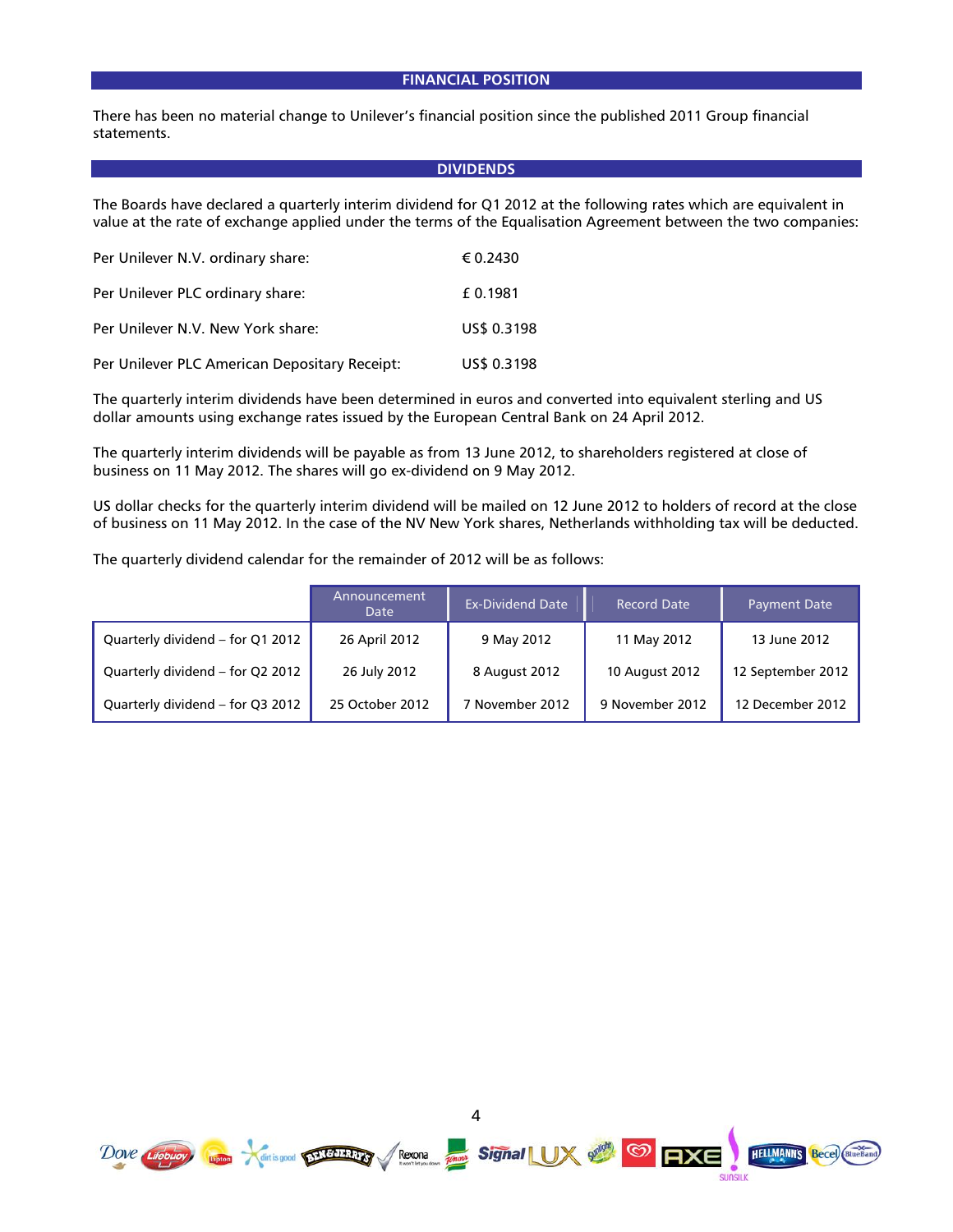### **FINANCIAL POSITION**

There has been no material change to Unilever's financial position since the published 2011 Group financial statements.

#### **DIVIDENDS**

The Boards have declared a quarterly interim dividend for Q1 2012 at the following rates which are equivalent in value at the rate of exchange applied under the terms of the Equalisation Agreement between the two companies:

| Per Unilever N.V. ordinary share:             | € 0.2430    |
|-----------------------------------------------|-------------|
| Per Unilever PLC ordinary share:              | £0.1981     |
| Per Unilever N.V. New York share:             | US\$ 0.3198 |
| Per Unilever PLC American Depositary Receipt: | US\$ 0.3198 |

The quarterly interim dividends have been determined in euros and converted into equivalent sterling and US dollar amounts using exchange rates issued by the European Central Bank on 24 April 2012.

The quarterly interim dividends will be payable as from 13 June 2012, to shareholders registered at close of business on 11 May 2012. The shares will go ex-dividend on 9 May 2012.

US dollar checks for the quarterly interim dividend will be mailed on 12 June 2012 to holders of record at the close of business on 11 May 2012. In the case of the NV New York shares, Netherlands withholding tax will be deducted.

The quarterly dividend calendar for the remainder of 2012 will be as follows:

|                                  | Announcement<br>Date | <b>Ex-Dividend Date</b> | <b>Record Date</b> | <b>Payment Date</b> |
|----------------------------------|----------------------|-------------------------|--------------------|---------------------|
| Quarterly dividend – for Q1 2012 | 26 April 2012        | 9 May 2012              | 11 May 2012        | 13 June 2012        |
| Quarterly dividend – for Q2 2012 | 26 July 2012         | 8 August 2012           | 10 August 2012     | 12 September 2012   |
| Quarterly dividend – for Q3 2012 | 25 October 2012      | 7 November 2012         | 9 November 2012    | 12 December 2012    |

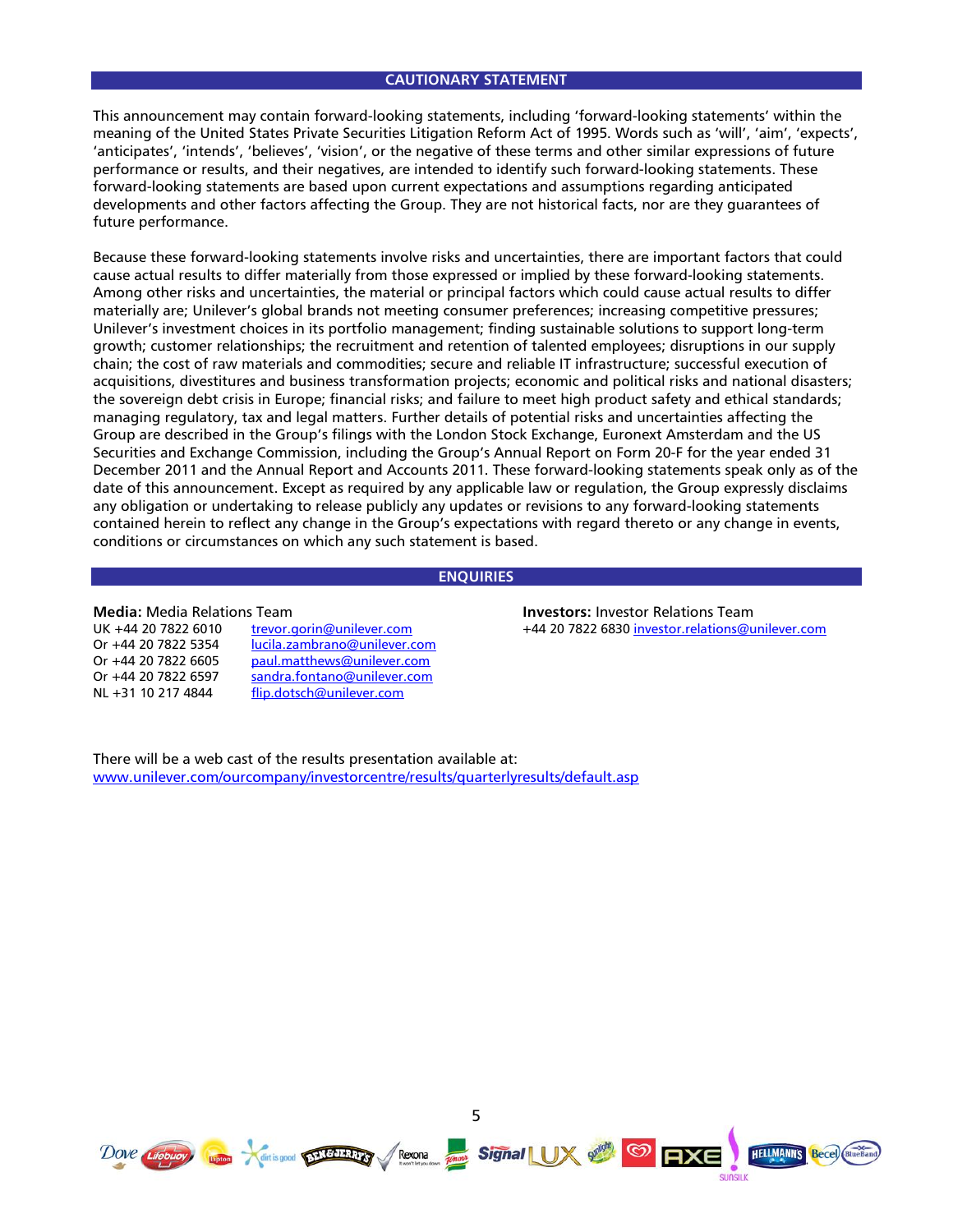#### **CAUTIONARY STATEMENT**

This announcement may contain forward-looking statements, including 'forward-looking statements' within the meaning of the United States Private Securities Litigation Reform Act of 1995. Words such as 'will', 'aim', 'expects', 'anticipates', 'intends', 'believes', 'vision', or the negative of these terms and other similar expressions of future performance or results, and their negatives, are intended to identify such forward-looking statements. These forward-looking statements are based upon current expectations and assumptions regarding anticipated developments and other factors affecting the Group. They are not historical facts, nor are they guarantees of future performance.

Because these forward-looking statements involve risks and uncertainties, there are important factors that could cause actual results to differ materially from those expressed or implied by these forward-looking statements. Among other risks and uncertainties, the material or principal factors which could cause actual results to differ materially are; Unilever's global brands not meeting consumer preferences; increasing competitive pressures; Unilever's investment choices in its portfolio management; finding sustainable solutions to support long-term growth; customer relationships; the recruitment and retention of talented employees; disruptions in our supply chain; the cost of raw materials and commodities; secure and reliable IT infrastructure; successful execution of acquisitions, divestitures and business transformation projects; economic and political risks and national disasters; the sovereign debt crisis in Europe; financial risks; and failure to meet high product safety and ethical standards; managing regulatory, tax and legal matters. Further details of potential risks and uncertainties affecting the Group are described in the Group's filings with the London Stock Exchange, Euronext Amsterdam and the US Securities and Exchange Commission, including the Group's Annual Report on Form 20-F for the year ended 31 December 2011 and the Annual Report and Accounts 2011. These forward-looking statements speak only as of the date of this announcement. Except as required by any applicable law or regulation, the Group expressly disclaims any obligation or undertaking to release publicly any updates or revisions to any forward-looking statements contained herein to reflect any change in the Group's expectations with regard thereto or any change in events, conditions or circumstances on which any such statement is based.

## **ENQUIRIES**

#### **Media:** Media Relations Team

| UK +44 20 7822 6010 | trevor.gorin@unilever.com    |
|---------------------|------------------------------|
| Or +44 20 7822 5354 | lucila.zambrano@unilever.com |
| Or +44 20 7822 6605 | paul.matthews@unilever.com   |
| Or +44 20 7822 6597 | sandra.fontano@unilever.com  |
| NL +31 10 217 4844  | flip.dotsch@unilever.com     |

**Investors:** Investor Relations Team +44 20 7822 6830 investor.relations@unilever.com

There will be a web cast of the results presentation available at: www.unilever.com/ourcompany/investorcentre/results/quarterlyresults/default.asp



5